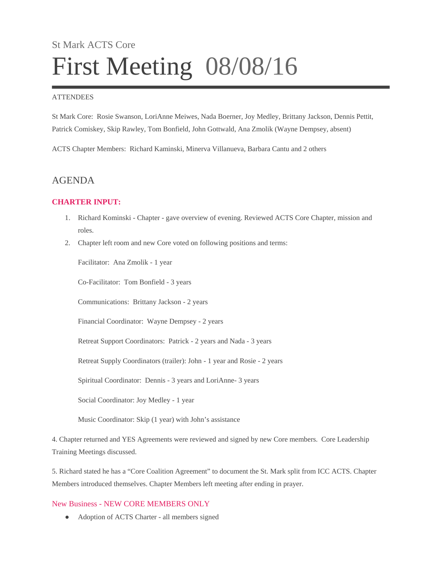# St Mark ACTS Core First Meeting 08/08/16

#### **ATTENDEES**

St Mark Core: Rosie Swanson, LoriAnne Meiwes, Nada Boerner, Joy Medley, Brittany Jackson, Dennis Pettit, Patrick Comiskey, Skip Rawley, Tom Bonfield, John Gottwald, Ana Zmolik (Wayne Dempsey, absent)

ACTS Chapter Members: Richard Kaminski, Minerva Villanueva, Barbara Cantu and 2 others

## AGENDA

## **CHARTER INPUT:**

- 1. Richard Kominski Chapter gave overview of evening. Reviewed ACTS Core Chapter, mission and roles.
- 2. Chapter left room and new Core voted on following positions and terms:

Facilitator: Ana Zmolik - 1 year

Co-Facilitator: Tom Bonfield - 3 years

Communications: Brittany Jackson - 2 years

Financial Coordinator: Wayne Dempsey - 2 years

Retreat Support Coordinators: Patrick - 2 years and Nada - 3 years

Retreat Supply Coordinators (trailer): John - 1 year and Rosie - 2 years

Spiritual Coordinator: Dennis - 3 years and LoriAnne- 3 years

Social Coordinator: Joy Medley - 1 year

Music Coordinator: Skip (1 year) with John's assistance

4. Chapter returned and YES Agreements were reviewed and signed by new Core members. Core Leadership Training Meetings discussed.

5. Richard stated he has a "Core Coalition Agreement" to document the St. Mark split from ICC ACTS. Chapter Members introduced themselves. Chapter Members left meeting after ending in prayer.

### New Business - NEW CORE MEMBERS ONLY

• Adoption of ACTS Charter - all members signed